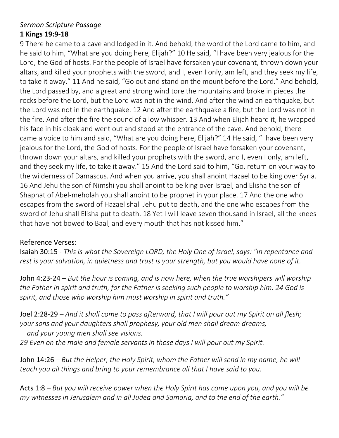## *Sermon Scripture Passage*  **1 Kings 19:9-18**

9 There he came to a cave and lodged in it. And behold, the word of the Lord came to him, and he said to him, "What are you doing here, Elijah?" 10 He said, "I have been very jealous for the Lord, the God of hosts. For the people of Israel have forsaken your covenant, thrown down your altars, and killed your prophets with the sword, and I, even I only, am left, and they seek my life, to take it away." 11 And he said, "Go out and stand on the mount before the Lord." And behold, the Lord passed by, and a great and strong wind tore the mountains and broke in pieces the rocks before the Lord, but the Lord was not in the wind. And after the wind an earthquake, but the Lord was not in the earthquake. 12 And after the earthquake a fire, but the Lord was not in the fire. And after the fire the sound of a low whisper. 13 And when Elijah heard it, he wrapped his face in his cloak and went out and stood at the entrance of the cave. And behold, there came a voice to him and said, "What are you doing here, Elijah?" 14 He said, "I have been very jealous for the Lord, the God of hosts. For the people of Israel have forsaken your covenant, thrown down your altars, and killed your prophets with the sword, and I, even I only, am left, and they seek my life, to take it away." 15 And the Lord said to him, "Go, return on your way to the wilderness of Damascus. And when you arrive, you shall anoint Hazael to be king over Syria. 16 And Jehu the son of Nimshi you shall anoint to be king over Israel, and Elisha the son of Shaphat of Abel-meholah you shall anoint to be prophet in your place. 17 And the one who escapes from the sword of Hazael shall Jehu put to death, and the one who escapes from the sword of Jehu shall Elisha put to death. 18 Yet I will leave seven thousand in Israel, all the knees that have not bowed to Baal, and every mouth that has not kissed him."

## Reference Verses:

Isaiah 30:15 *- This is what the Sovereign LORD, the Holy One of Israel, says: "In repentance and rest is your salvation, in quietness and trust is your strength, but you would have none of it.*

John 4:23-24 – *But the hour is coming, and is now here, when the true worshipers will worship the Father in spirit and truth, for the Father is seeking such people to worship him. 24 God is spirit, and those who worship him must worship in spirit and truth."*

Joel 2:28-29 *– And it shall come to pass afterward, that I will pour out my Spirit on all flesh; your sons and your daughters shall prophesy, your old men shall dream dreams, and your young men shall see visions.*

*29 Even on the male and female servants in those days I will pour out my Spirit.*

John 14:26 *– But the Helper, the Holy Spirit, whom the Father will send in my name, he will teach you all things and bring to your remembrance all that I have said to you.*

Acts 1:8 *– But you will receive power when the Holy Spirit has come upon you, and you will be my witnesses in Jerusalem and in all Judea and Samaria, and to the end of the earth."*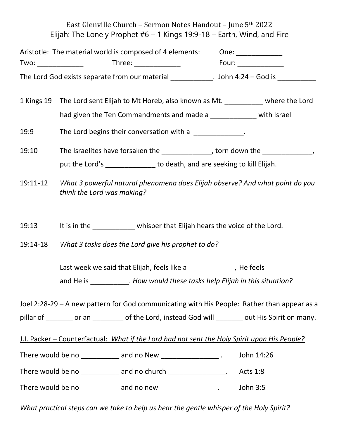East Glenville Church – Sermon Notes Handout – June 5th 2022 Elijah: The Lonely Prophet  $#6 - 1$  Kings 19:9-18 – Earth, Wind, and Fire

| Aristotle: The material world is composed of 4 elements: |          | One:                   |
|----------------------------------------------------------|----------|------------------------|
| Two:                                                     | Three: I | Four:                  |
| The Lord God exists separate from our material           |          | . John $4:24$ – God is |

1 Kings 19 The Lord sent Elijah to Mt Horeb, also known as Mt. \_\_\_\_\_\_\_\_\_\_\_ where the Lord had given the Ten Commandments and made a \_\_\_\_\_\_\_\_\_\_\_\_\_ with Israel

19:9 The Lord begins their conversation with a **The Lord begins** their conversation with a

19:10 The Israelites have forsaken the the the method of the state of the state of the state of the state of t

put the Lord's **the Lord's** to death, and are seeking to kill Elijah.

19:11-12 *What 3 powerful natural phenomena does Elijah observe? And what point do you think the Lord was making?*

19:13 It is in the whisper that Elijah hears the voice of the Lord.

19:14-18 *What 3 tasks does the Lord give his prophet to do?*

Last week we said that Elijah, feels like a \_\_\_\_\_\_\_\_\_\_\_\_\_, He feels \_

and He is \_\_\_\_\_\_\_\_\_\_. *How would these tasks help Elijah in this situation?*

Joel 2:28-29 – A new pattern for God communicating with His People: Rather than appear as a pillar of can bor an bof the Lord, instead God will cout His Spirit on many.

J.I. Packer – Counterfactual: *What if the Lord had not sent the Holy Spirit upon His People?*

There would be no \_\_\_\_\_\_\_\_\_\_\_\_ and no New \_\_\_\_\_\_\_\_\_\_\_\_\_\_\_\_\_\_\_\_\_. John 14:26

There would be no church and no church the control of the control of the control of the control of the control of the control of the control of the control of the control of the control of the control of the control of the

There would be no \_\_\_\_\_\_\_\_\_\_\_ and no new \_\_\_\_\_\_\_\_\_\_\_\_\_\_\_\_. John 3:5

*What practical steps can we take to help us hear the gentle whisper of the Holy Spirit?*